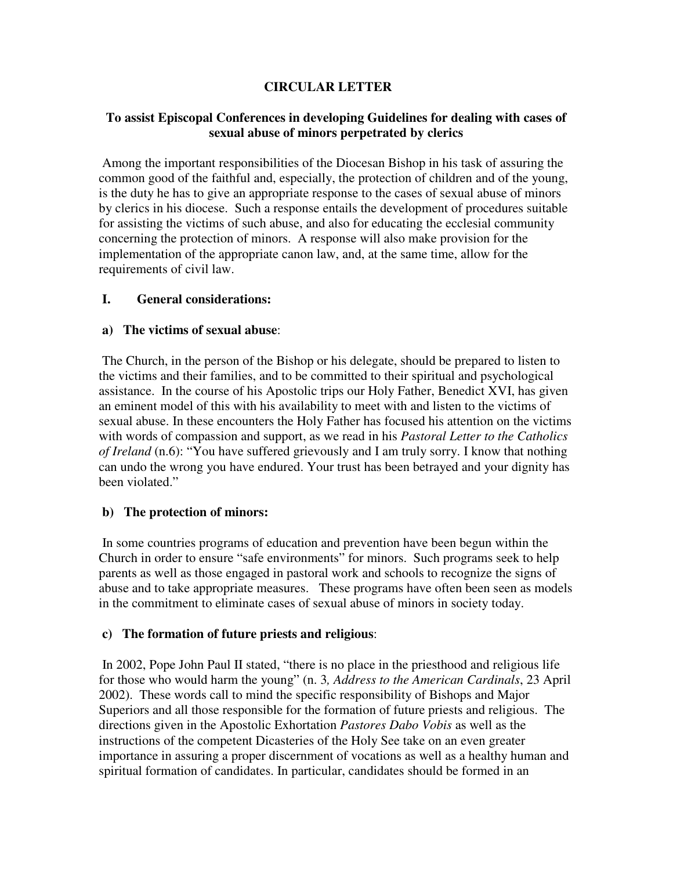# **CIRCULAR LETTER**

#### **To assist Episcopal Conferences in developing Guidelines for dealing with cases of sexual abuse of minors perpetrated by clerics**

 Among the important responsibilities of the Diocesan Bishop in his task of assuring the common good of the faithful and, especially, the protection of children and of the young, is the duty he has to give an appropriate response to the cases of sexual abuse of minors by clerics in his diocese. Such a response entails the development of procedures suitable for assisting the victims of such abuse, and also for educating the ecclesial community concerning the protection of minors. A response will also make provision for the implementation of the appropriate canon law, and, at the same time, allow for the requirements of civil law.

#### **I. General considerations:**

#### **a) The victims of sexual abuse**:

 The Church, in the person of the Bishop or his delegate, should be prepared to listen to the victims and their families, and to be committed to their spiritual and psychological assistance. In the course of his Apostolic trips our Holy Father, Benedict XVI, has given an eminent model of this with his availability to meet with and listen to the victims of sexual abuse. In these encounters the Holy Father has focused his attention on the victims with words of compassion and support, as we read in his *Pastoral Letter to the Catholics of Ireland* (n.6): "You have suffered grievously and I am truly sorry. I know that nothing can undo the wrong you have endured. Your trust has been betrayed and your dignity has been violated."

# **b) The protection of minors:**

 In some countries programs of education and prevention have been begun within the Church in order to ensure "safe environments" for minors. Such programs seek to help parents as well as those engaged in pastoral work and schools to recognize the signs of abuse and to take appropriate measures. These programs have often been seen as models in the commitment to eliminate cases of sexual abuse of minors in society today.

#### **c) The formation of future priests and religious**:

 In 2002, Pope John Paul II stated, "there is no place in the priesthood and religious life for those who would harm the young" (n. 3*, Address to the American Cardinals*, 23 April 2002). These words call to mind the specific responsibility of Bishops and Major Superiors and all those responsible for the formation of future priests and religious. The directions given in the Apostolic Exhortation *Pastores Dabo Vobis* as well as the instructions of the competent Dicasteries of the Holy See take on an even greater importance in assuring a proper discernment of vocations as well as a healthy human and spiritual formation of candidates. In particular, candidates should be formed in an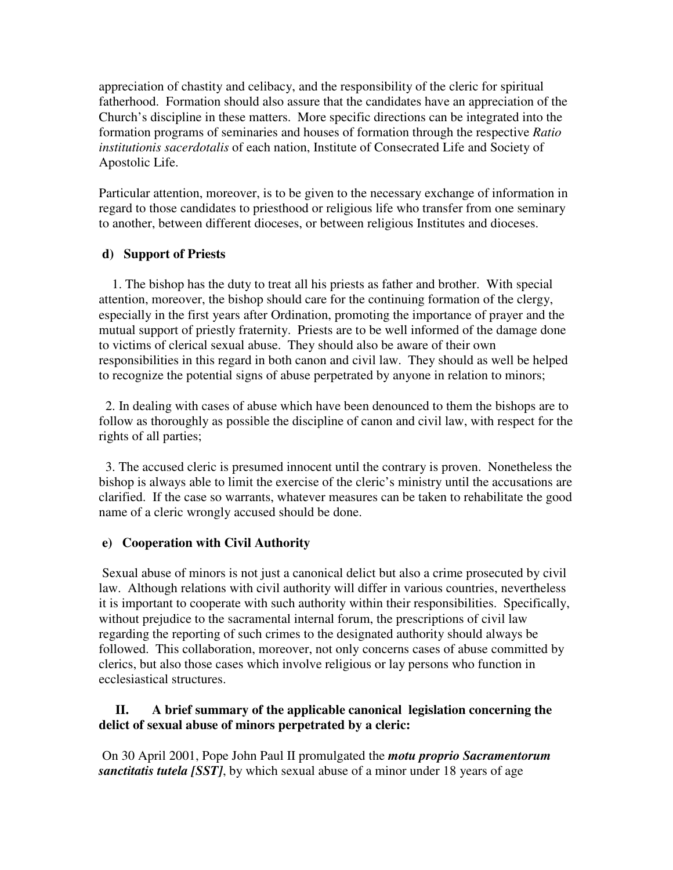appreciation of chastity and celibacy, and the responsibility of the cleric for spiritual fatherhood. Formation should also assure that the candidates have an appreciation of the Church's discipline in these matters. More specific directions can be integrated into the formation programs of seminaries and houses of formation through the respective *Ratio institutionis sacerdotalis* of each nation, Institute of Consecrated Life and Society of Apostolic Life.

Particular attention, moreover, is to be given to the necessary exchange of information in regard to those candidates to priesthood or religious life who transfer from one seminary to another, between different dioceses, or between religious Institutes and dioceses.

# **d) Support of Priests**

 1. The bishop has the duty to treat all his priests as father and brother. With special attention, moreover, the bishop should care for the continuing formation of the clergy, especially in the first years after Ordination, promoting the importance of prayer and the mutual support of priestly fraternity. Priests are to be well informed of the damage done to victims of clerical sexual abuse. They should also be aware of their own responsibilities in this regard in both canon and civil law. They should as well be helped to recognize the potential signs of abuse perpetrated by anyone in relation to minors;

 2. In dealing with cases of abuse which have been denounced to them the bishops are to follow as thoroughly as possible the discipline of canon and civil law, with respect for the rights of all parties;

 3. The accused cleric is presumed innocent until the contrary is proven. Nonetheless the bishop is always able to limit the exercise of the cleric's ministry until the accusations are clarified. If the case so warrants, whatever measures can be taken to rehabilitate the good name of a cleric wrongly accused should be done.

# **e) Cooperation with Civil Authority**

 Sexual abuse of minors is not just a canonical delict but also a crime prosecuted by civil law. Although relations with civil authority will differ in various countries, nevertheless it is important to cooperate with such authority within their responsibilities. Specifically, without prejudice to the sacramental internal forum, the prescriptions of civil law regarding the reporting of such crimes to the designated authority should always be followed. This collaboration, moreover, not only concerns cases of abuse committed by clerics, but also those cases which involve religious or lay persons who function in ecclesiastical structures.

# **II. A brief summary of the applicable canonical legislation concerning the delict of sexual abuse of minors perpetrated by a cleric:**

 On 30 April 2001, Pope John Paul II promulgated the *motu proprio Sacramentorum sanctitatis tutela [SST]*, by which sexual abuse of a minor under 18 years of age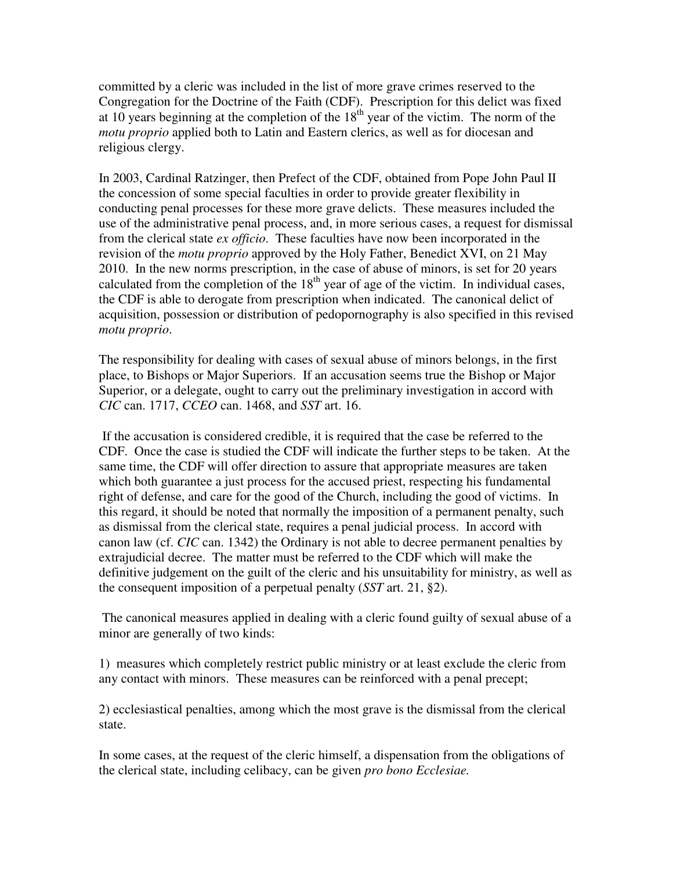committed by a cleric was included in the list of more grave crimes reserved to the Congregation for the Doctrine of the Faith (CDF). Prescription for this delict was fixed at 10 years beginning at the completion of the  $18<sup>th</sup>$  year of the victim. The norm of the *motu proprio* applied both to Latin and Eastern clerics, as well as for diocesan and religious clergy.

In 2003, Cardinal Ratzinger, then Prefect of the CDF, obtained from Pope John Paul II the concession of some special faculties in order to provide greater flexibility in conducting penal processes for these more grave delicts. These measures included the use of the administrative penal process, and, in more serious cases, a request for dismissal from the clerical state *ex officio*. These faculties have now been incorporated in the revision of the *motu proprio* approved by the Holy Father, Benedict XVI, on 21 May 2010. In the new norms prescription, in the case of abuse of minors, is set for 20 years calculated from the completion of the  $18<sup>th</sup>$  year of age of the victim. In individual cases, the CDF is able to derogate from prescription when indicated. The canonical delict of acquisition, possession or distribution of pedopornography is also specified in this revised *motu proprio*.

The responsibility for dealing with cases of sexual abuse of minors belongs, in the first place, to Bishops or Major Superiors. If an accusation seems true the Bishop or Major Superior, or a delegate, ought to carry out the preliminary investigation in accord with *CIC* can. 1717, *CCEO* can. 1468, and *SST* art. 16.

 If the accusation is considered credible, it is required that the case be referred to the CDF. Once the case is studied the CDF will indicate the further steps to be taken. At the same time, the CDF will offer direction to assure that appropriate measures are taken which both guarantee a just process for the accused priest, respecting his fundamental right of defense, and care for the good of the Church, including the good of victims. In this regard, it should be noted that normally the imposition of a permanent penalty, such as dismissal from the clerical state, requires a penal judicial process. In accord with canon law (cf. *CIC* can. 1342) the Ordinary is not able to decree permanent penalties by extrajudicial decree. The matter must be referred to the CDF which will make the definitive judgement on the guilt of the cleric and his unsuitability for ministry, as well as the consequent imposition of a perpetual penalty (*SST* art. 21, §2).

 The canonical measures applied in dealing with a cleric found guilty of sexual abuse of a minor are generally of two kinds:

1) measures which completely restrict public ministry or at least exclude the cleric from any contact with minors. These measures can be reinforced with a penal precept;

2) ecclesiastical penalties, among which the most grave is the dismissal from the clerical state.

In some cases, at the request of the cleric himself, a dispensation from the obligations of the clerical state, including celibacy, can be given *pro bono Ecclesiae.*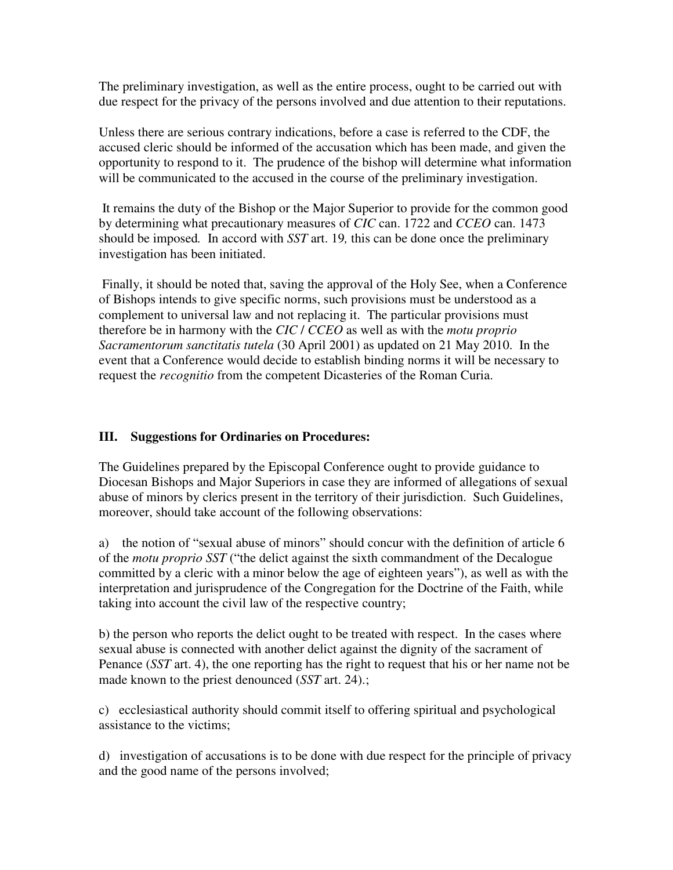The preliminary investigation, as well as the entire process, ought to be carried out with due respect for the privacy of the persons involved and due attention to their reputations.

Unless there are serious contrary indications, before a case is referred to the CDF, the accused cleric should be informed of the accusation which has been made, and given the opportunity to respond to it. The prudence of the bishop will determine what information will be communicated to the accused in the course of the preliminary investigation.

 It remains the duty of the Bishop or the Major Superior to provide for the common good by determining what precautionary measures of *CIC* can. 1722 and *CCEO* can. 1473 should be imposed*.* In accord with *SST* art. 19*,* this can be done once the preliminary investigation has been initiated.

 Finally, it should be noted that, saving the approval of the Holy See, when a Conference of Bishops intends to give specific norms, such provisions must be understood as a complement to universal law and not replacing it. The particular provisions must therefore be in harmony with the *CIC* / *CCEO* as well as with the *motu proprio Sacramentorum sanctitatis tutela* (30 April 2001) as updated on 21 May 2010. In the event that a Conference would decide to establish binding norms it will be necessary to request the *recognitio* from the competent Dicasteries of the Roman Curia.

# **III. Suggestions for Ordinaries on Procedures:**

The Guidelines prepared by the Episcopal Conference ought to provide guidance to Diocesan Bishops and Major Superiors in case they are informed of allegations of sexual abuse of minors by clerics present in the territory of their jurisdiction. Such Guidelines, moreover, should take account of the following observations:

a) the notion of "sexual abuse of minors" should concur with the definition of article 6 of the *motu proprio SST* ("the delict against the sixth commandment of the Decalogue committed by a cleric with a minor below the age of eighteen years"), as well as with the interpretation and jurisprudence of the Congregation for the Doctrine of the Faith, while taking into account the civil law of the respective country;

b) the person who reports the delict ought to be treated with respect. In the cases where sexual abuse is connected with another delict against the dignity of the sacrament of Penance (*SST* art. 4), the one reporting has the right to request that his or her name not be made known to the priest denounced (*SST* art. 24).;

c) ecclesiastical authority should commit itself to offering spiritual and psychological assistance to the victims;

d) investigation of accusations is to be done with due respect for the principle of privacy and the good name of the persons involved;